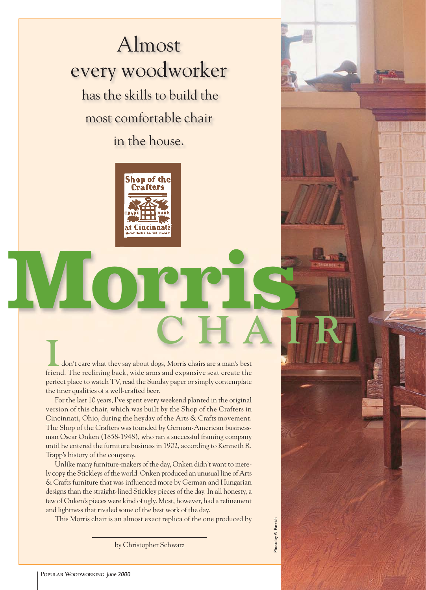Almost every woodworker has the skills to build the most comfortable chair in the house.



**I** don't care what they say about dogs, Morris chairs are a man's best friend. The reclining back, wide arms and expansive seat create the perfect place to watch TV, read the Sunday paper or simply contemplate the finer qualities of a well-crafted beer.

**Morris**

For the last 10 years, I've spent every weekend planted in the original version of this chair, which was built by the Shop of the Crafters in Cincinnati, Ohio, during the heyday of the Arts & Crafts movement. The Shop of the Crafters was founded by German-American businessman Oscar Onken (1858-1948), who ran a successful framing company until he entered the furniture business in 1902, according to Kenneth R. Trapp's history of the company.

Unlike many furniture-makers of the day, Onken didn't want to merely copy the Stickleys of the world. Onken produced an unusual line of Arts & Crafts furniture that was influenced more by German and Hungarian designs than the straight-lined Stickley pieces of the day. In all honesty, a few of Onken's pieces were kind of ugly. Most, however, had a refinement and lightness that rivaled some of the best work of the day.

This Morris chair is an almost exact replica of the one produced by

by Christopher Schwarz

Photo by Al Parrish Photo by Al Parrish

**CHAIR**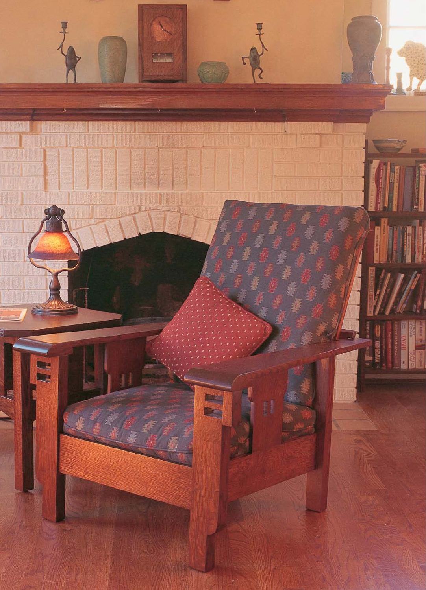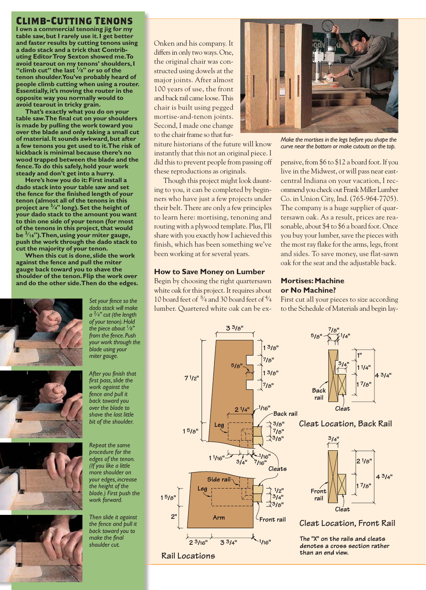# **Climb-Cutting Tenons**

**I own a commercial tenoning jig for my table saw,but I rarely use it.I get better and faster results by cutting tenons using a dado stack and a trick that Contributing Editor Troy Sexton showed me.To avoid tearout on my tenons' shoulders,I "climb cut" the last 1⁄8" or so of the tenon shoulder.You've probably heard of people climb cutting when using a router. Essentially,it's moving the router in the opposite way you normally would to avoid tearout in tricky grain.**

**That's exactly what you do on your table saw.The final cut on your shoulders is made by pulling the work toward you over the blade and only taking a small cut of material.It sounds awkward,but after a few tenons you get used to it.The risk of kickback is minimal because there's no wood trapped between the blade and the fence.To do this safely,hold your work steady and don't get into a hurry.**

**Here's how you do it:First install a dado stack into your table saw and set the fence for the finished length of your tenon (almost all of the tenons in this project are 3⁄4" long).Set the height of your dado stack to the amount you want to thin one side of your tenon (for most** of the tenons in this project, that would **be 3⁄16").Then,using your miter gauge, push the work through the dado stack to cut the majority of your tenon.**

**When this cut is done,slide the work against the fence and pull the miter gauge back toward you to shave the shoulder of the tenon.Flip the work over and do the other side.Then do the edges.**

> *Set your fence so the dado stack will make a 3⁄4" cut (the length of your tenon).Hold the piece about 1⁄8" from the fence.Push your work through the blade using your miter gauge.*

*After you finish that first pass,slide the work against the fence and pull it back toward you over the blade to shave the last little bit of the shoulder.*

*Repeat the same procedure for the edges of the tenon. (If you like a little more shoulder on your edges,increase the height of the blade.) First push the work forward.*

*Then slide it against the fence and pull it back toward you to make the final shoulder cut.*









Onken and his company. It differs in only two ways. One, the original chair was constructed using dowels at the major joints. After almost 100 years of use, the front and back rail came loose. This chair is built using pegged mortise-and-tenon joints. Second, I made one change to the chair frame so that fur-

niture historians of the future will know instantly that this not an original piece. I did this to prevent people from passing off these reproductions as originals.

Though this project might look daunting to you, it can be completed by beginners who have just a few projects under their belt. There are only a few principles to learn here: mortising, tenoning and routing with a plywood template. Plus, I'll share with you exactly how I achieved this finish, which has been something we've been working at for several years.

#### **How to Save Money on Lumber**

Begin by choosing the right quartersawn white oak for this project. It requires about 10 board feet of  $\frac{8}{4}$  and 30 board feet of  $\frac{4}{4}$ lumber. Quartered white oak can be ex-



*Make the mortises in the legs before you shape the curve near the bottom or make cutouts on the top.*

pensive, from \$6 to \$12 a board foot. If you live in the Midwest, or will pass near eastcentral Indiana on your vacation, I recommend you check out Frank Miller Lumber Co. in Union City, Ind. (765-964-7705). The company is a huge supplier of quartersawn oak. As a result, prices are reasonable, about \$4 to \$6 a board foot. Once you buy your lumber, save the pieces with the most ray flake for the arms, legs, front and sides. To save money, use flat-sawn oak for the seat and the adjustable back.

## **Mortises:Machine or No Machine?**

First cut all your pieces to size according to the Schedule of Materials and begin lay-





**Cleat Location, Back Rail**



**Cleat Location, Front Rail**

**The "X" on the rails and cleats denotes a cross section rather than an end view.**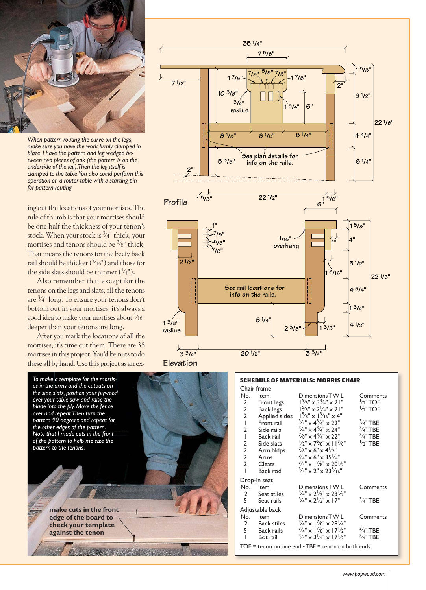

*When pattern-routing the curve on the legs, make sure you have the work firmly clamped in place.I have the pattern and leg wedged between two pieces of oak (the pattern is on the underside of the leg).Then the leg itself is clamped to the table.You also could perform this operation on a router table with a starting pin for pattern-routing.*

ing out the locations of your mortises. The rule of thumb is that your mortises should be one half the thickness of your tenon's stock. When your stock is  $\frac{3}{4}$ " thick, your mortises and tenons should be  $\frac{3}{8}$ " thick. That means the tenons for the beefy back rail should be thicker ( $\frac{7}{16}$ ") and those for the side slats should be thinner  $(\frac{1}{4})$ .

Also remember that except for the tenons on the legs and slats, all the tenons are 3⁄4" long. To ensure your tenons don't bottom out in your mortises, it's always a good idea to make your mortises about  $\frac{1}{16}$ " deeper than your tenons are long.

After you mark the locations of all the mortises, it's time cut them. There are 38





#### **Schedule of Materials: Morris CHair**

| Chair frame                                                                                                        |                     |
|--------------------------------------------------------------------------------------------------------------------|---------------------|
| No.<br>Item<br>Dimensions TWL                                                                                      | Comments            |
| $1\frac{5}{8}$ " x $3\frac{3}{4}$ " x 21"<br>$\mathbf{2}$<br>Front legs                                            | <sup>1</sup> /2"TOE |
| $1\frac{5}{8}$ " x $2\frac{1}{4}$ " x $21$ "<br>$\overline{2}$<br>Back legs                                        | 1/2" TOE            |
| $\overline{2}$<br>$1\frac{5}{8}$ " x $1\frac{3}{16}$ " x 4"<br>Applied sides                                       |                     |
| $\frac{3}{4}$ " x 4 $\frac{3}{4}$ " x 22"<br>Ť<br>Front rail                                                       | $\frac{3}{4}$ "TBE  |
| $\frac{3}{4}$ " x $\frac{43}{4}$ " x $\frac{24}{4}$ "<br>$\overline{2}$<br>Side rails                              | $\frac{3}{4}$ " TBE |
| $\frac{7}{8}$ " x 4 <sup>3</sup> / <sub>4</sub> " x 22"<br>Ť<br>Back rail                                          | $\frac{3}{4}$ "TBE  |
| $\frac{1}{2}$ x 7 <sup>5</sup> / <sub>8</sub> " x 11 <sup>3</sup> / <sub>8</sub> "<br>$\overline{2}$<br>Side slats | $\frac{1}{2}$ "TBE  |
| $\overline{2}$<br>$\frac{7}{8}$ " x 6" x 4 $\frac{1}{2}$ "<br>Arm bldps                                            |                     |
| $\overline{2}$<br>$\frac{3}{4}$ " x 6" x 35 $\frac{1}{4}$ "<br>Arms                                                |                     |
| $\overline{2}$<br>$\frac{3}{4}$ " x $\frac{1}{8}$ " x 20 $\frac{1}{2}$ "<br>Cleats                                 |                     |
| $\frac{3}{4}$ " x 2" x 23 $\frac{5}{16}$ "<br>I<br>Back rod                                                        |                     |
| Drop-in seat                                                                                                       |                     |
| Dimensions TWL<br>No.<br>Item                                                                                      | Comments            |
| $\frac{3}{4}$ " x 2 $\frac{1}{2}$ " x 23 $\frac{1}{2}$ "<br>$\overline{2}$<br>Seat stiles                          |                     |
| $\frac{3}{4}$ " x $\frac{2}{2}$ " x 17"<br>5<br>Seat rails                                                         | $\frac{3}{4}$ " TBE |
| Adjustable back                                                                                                    |                     |
| No.<br>Dimensions TWL<br>Item                                                                                      | Comments            |
| $\frac{3}{4}$ " x $\frac{1}{8}$ " x 28 <sup>1</sup> / <sub>4</sub> "<br>$2^{\sim}$<br><b>Back stiles</b>           |                     |
| $\frac{3}{4}$ " x $\frac{1}{8}$ " x $\frac{17}{2}$ "<br>5<br>Back rails                                            | $\frac{3}{4}$ "TBE  |
| $\frac{3}{4}$ " x $\frac{3}{4}$ " x $\frac{17}{2}$ "<br>I<br>Bot rail                                              | $\frac{3}{4}$ " TBE |
| TOE = tenon on one end $\cdot$ TBE = tenon on both ends                                                            |                     |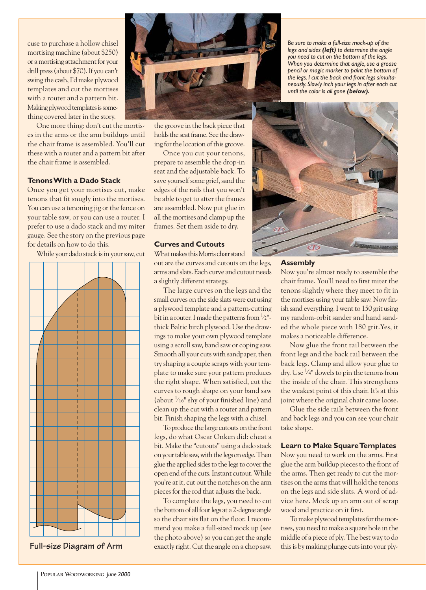cuse to purchase a hollow chisel mortising machine (about \$250) or a mortising attachment for your drill press (about \$70). If you can't swing the cash, I'd make plywood templates and cut the mortises with a router and a pattern bit. Making plywood templates is something covered later in the story.

One more thing: don't cut the mortises in the arms or the arm buildups until the chair frame is assembled. You'll cut these with a router and a pattern bit after the chair frame is assembled.

### **Tenons With a Dado Stack**

Once you get your mortises cut, make tenons that fit snugly into the mortises. You can use a tenoning jig or the fence on your table saw, or you can use a router. I prefer to use a dado stack and my miter gauge. See the story on the previous page for details on how to do this.

While your dado stack is in your saw, cut



**Full-size Diagram of Arm**



the groove in the back piece that holds the seat frame. See the drawing for the location of this groove.

Once you cut your tenons, prepare to assemble the drop-in seat and the adjustable back. To save yourself some grief, sand the edges of the rails that you won't be able to get to after the frames are assembled. Now put glue in all the mortises and clamp up the frames. Set them aside to dry.

### **Curves and Cutouts**

What makes this Morris chair stand out are the curves and cutouts on the legs, arms and slats. Each curve and cutout needs a slightly different strategy.

The large curves on the legs and the small curves on the side slats were cut using a plywood template and a pattern-cutting bit in a router. I made the patterns from  $\frac{1}{2}$ "thick Baltic birch plywood. Use the drawings to make your own plywood template using a scroll saw, band saw or coping saw. Smooth all your cuts with sandpaper, then try shaping a couple scraps with your template to make sure your pattern produces the right shape. When satisfied, cut the curves to rough shape on your band saw (about  $\frac{1}{16}$ " shy of your finished line) and clean up the cut with a router and pattern bit. Finish shaping the legs with a chisel.

To produce the large cutouts on the front legs, do what Oscar Onken did: cheat a bit. Make the "cutouts" using a dado stack on your table saw, with the legs on edge. Then glue the applied sides to the legs to cover the open end of the cuts. Instant cutout. While you're at it, cut out the notches on the arm pieces for the rod that adjusts the back.

To complete the legs, you need to cut the bottom of all four legs at a 2-degree angle so the chair sits flat on the floor. I recommend you make a full-sized mock up (see the photo above) so you can get the angle exactly right. Cut the angle on a chop saw.

*Be sure to make a full-size mock-up of the legs and sides (left) to determine the angle you need to cut on the bottom of the legs. When you determine that angle,use a grease pencil or magic marker to paint the bottom of the legs.I cut the back and front legs simultaneously.Slowly inch your legs in after each cut until the color is all gone (below).*



#### **Assembly**

Now you're almost ready to assemble the chair frame. You'll need to first miter the tenons slightly where they meet to fit in the mortises using your table saw. Now finish sand everything. I went to 150 grit using my random-orbit sander and hand sanded the whole piece with 180 grit.Yes, it makes a noticeable difference.

Now glue the front rail between the front legs and the back rail between the back legs. Clamp and allow your glue to dry. Use  $\frac{1}{4}$ " dowels to pin the tenons from the inside of the chair. This strengthens the weakest point of this chair. It's at this joint where the original chair came loose.

Glue the side rails between the front and back legs and you can see your chair take shape.

### **Learn to Make Square Templates**

Now you need to work on the arms. First glue the arm buildup pieces to the front of the arms. Then get ready to cut the mortises on the arms that will hold the tenons on the legs and side slats. A word of advice here. Mock up an arm out of scrap wood and practice on it first.

To make plywood templates for the mortises, you need to make a square hole in the middle of a piece of ply. The best way to do this is by making plunge cuts into your ply-